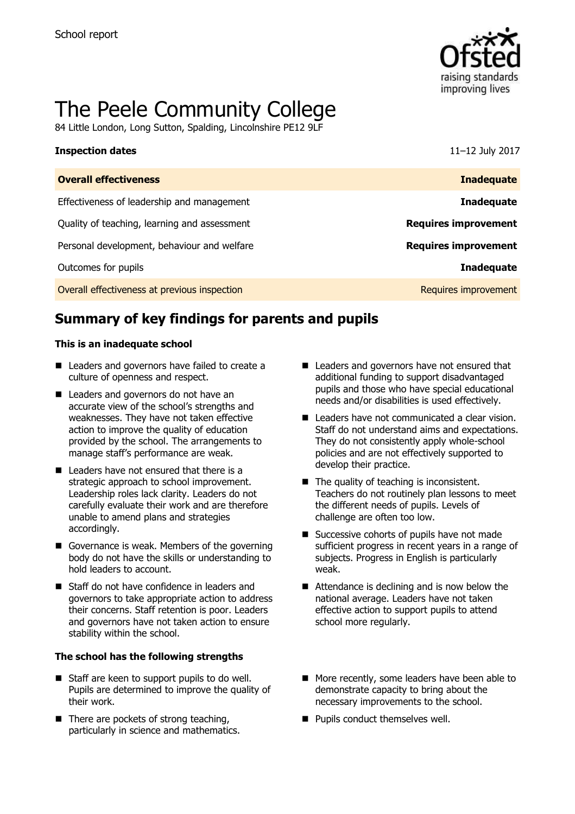

# The Peele Community College

84 Little London, Long Sutton, Spalding, Lincolnshire PE12 9LF

| <b>Inspection dates</b>                      | 11-12 July 2017             |
|----------------------------------------------|-----------------------------|
| <b>Overall effectiveness</b>                 | <b>Inadequate</b>           |
| Effectiveness of leadership and management   | <b>Inadequate</b>           |
| Quality of teaching, learning and assessment | <b>Requires improvement</b> |
| Personal development, behaviour and welfare  | <b>Requires improvement</b> |
| Outcomes for pupils                          | <b>Inadequate</b>           |
| Overall effectiveness at previous inspection | Requires improvement        |

# **Summary of key findings for parents and pupils**

### **This is an inadequate school**

- Leaders and governors have failed to create a culture of openness and respect.
- Leaders and governors do not have an accurate view of the school's strengths and weaknesses. They have not taken effective action to improve the quality of education provided by the school. The arrangements to manage staff's performance are weak.
- $\blacksquare$  Leaders have not ensured that there is a strategic approach to school improvement. Leadership roles lack clarity. Leaders do not carefully evaluate their work and are therefore unable to amend plans and strategies accordingly.
- Governance is weak. Members of the governing body do not have the skills or understanding to hold leaders to account.
- Staff do not have confidence in leaders and governors to take appropriate action to address their concerns. Staff retention is poor. Leaders and governors have not taken action to ensure stability within the school.

### **The school has the following strengths**

- Staff are keen to support pupils to do well. Pupils are determined to improve the quality of their work.
- $\blacksquare$  There are pockets of strong teaching, particularly in science and mathematics.
- Leaders and governors have not ensured that additional funding to support disadvantaged pupils and those who have special educational needs and/or disabilities is used effectively.
- Leaders have not communicated a clear vision. Staff do not understand aims and expectations. They do not consistently apply whole-school policies and are not effectively supported to develop their practice.
- The quality of teaching is inconsistent. Teachers do not routinely plan lessons to meet the different needs of pupils. Levels of challenge are often too low.
- Successive cohorts of pupils have not made sufficient progress in recent years in a range of subjects. Progress in English is particularly weak.
- Attendance is declining and is now below the national average. Leaders have not taken effective action to support pupils to attend school more regularly.
- More recently, some leaders have been able to demonstrate capacity to bring about the necessary improvements to the school.
- **Pupils conduct themselves well.**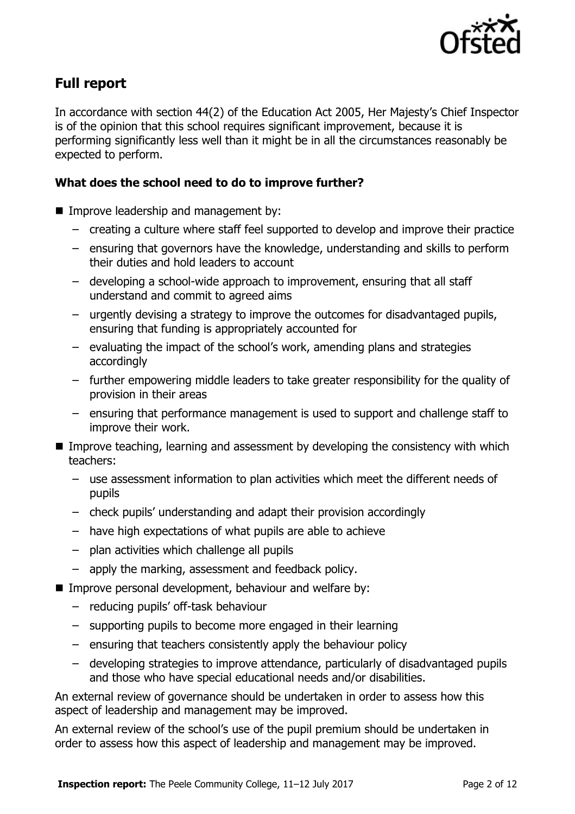

# **Full report**

In accordance with section 44(2) of the Education Act 2005, Her Majesty's Chief Inspector is of the opinion that this school requires significant improvement, because it is performing significantly less well than it might be in all the circumstances reasonably be expected to perform.

### **What does the school need to do to improve further?**

- **Improve leadership and management by:** 
	- creating a culture where staff feel supported to develop and improve their practice
	- ensuring that governors have the knowledge, understanding and skills to perform their duties and hold leaders to account
	- developing a school-wide approach to improvement, ensuring that all staff understand and commit to agreed aims
	- urgently devising a strategy to improve the outcomes for disadvantaged pupils, ensuring that funding is appropriately accounted for
	- evaluating the impact of the school's work, amending plans and strategies accordingly
	- further empowering middle leaders to take greater responsibility for the quality of provision in their areas
	- ensuring that performance management is used to support and challenge staff to improve their work.
- Improve teaching, learning and assessment by developing the consistency with which teachers:
	- use assessment information to plan activities which meet the different needs of pupils
	- check pupils' understanding and adapt their provision accordingly
	- have high expectations of what pupils are able to achieve
	- plan activities which challenge all pupils
	- apply the marking, assessment and feedback policy.
- Improve personal development, behaviour and welfare by:
	- reducing pupils' off-task behaviour
	- supporting pupils to become more engaged in their learning
	- ensuring that teachers consistently apply the behaviour policy
	- developing strategies to improve attendance, particularly of disadvantaged pupils and those who have special educational needs and/or disabilities.

An external review of governance should be undertaken in order to assess how this aspect of leadership and management may be improved.

An external review of the school's use of the pupil premium should be undertaken in order to assess how this aspect of leadership and management may be improved.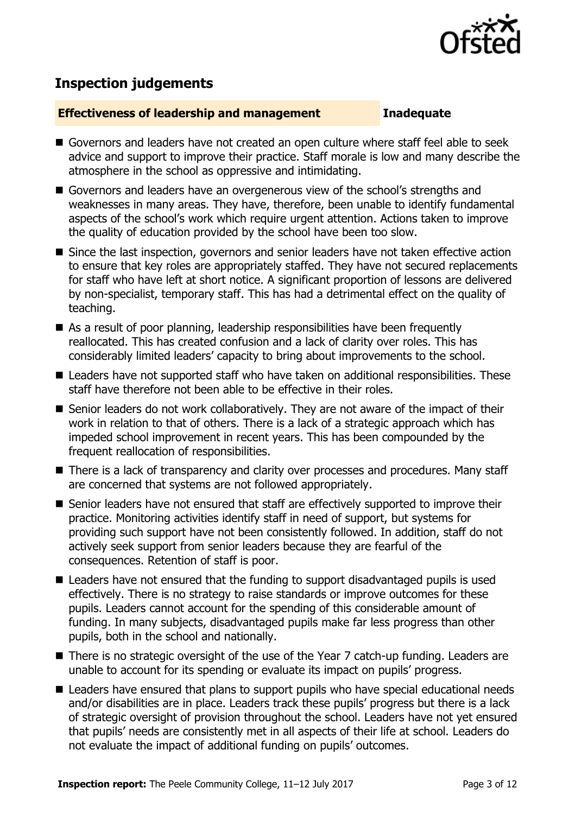

## **Inspection judgements**

### **Effectiveness of leadership and management Inadequate**

- Governors and leaders have not created an open culture where staff feel able to seek advice and support to improve their practice. Staff morale is low and many describe the atmosphere in the school as oppressive and intimidating.
- Governors and leaders have an overgenerous view of the school's strengths and weaknesses in many areas. They have, therefore, been unable to identify fundamental aspects of the school's work which require urgent attention. Actions taken to improve the quality of education provided by the school have been too slow.
- Since the last inspection, governors and senior leaders have not taken effective action to ensure that key roles are appropriately staffed. They have not secured replacements for staff who have left at short notice. A significant proportion of lessons are delivered by non-specialist, temporary staff. This has had a detrimental effect on the quality of teaching.
- As a result of poor planning, leadership responsibilities have been frequently reallocated. This has created confusion and a lack of clarity over roles. This has considerably limited leaders' capacity to bring about improvements to the school.
- Leaders have not supported staff who have taken on additional responsibilities. These staff have therefore not been able to be effective in their roles.
- Senior leaders do not work collaboratively. They are not aware of the impact of their work in relation to that of others. There is a lack of a strategic approach which has impeded school improvement in recent years. This has been compounded by the frequent reallocation of responsibilities.
- There is a lack of transparency and clarity over processes and procedures. Many staff are concerned that systems are not followed appropriately.
- Senior leaders have not ensured that staff are effectively supported to improve their practice. Monitoring activities identify staff in need of support, but systems for providing such support have not been consistently followed. In addition, staff do not actively seek support from senior leaders because they are fearful of the consequences. Retention of staff is poor.
- Leaders have not ensured that the funding to support disadvantaged pupils is used effectively. There is no strategy to raise standards or improve outcomes for these pupils. Leaders cannot account for the spending of this considerable amount of funding. In many subjects, disadvantaged pupils make far less progress than other pupils, both in the school and nationally.
- There is no strategic oversight of the use of the Year 7 catch-up funding. Leaders are unable to account for its spending or evaluate its impact on pupils' progress.
- Leaders have ensured that plans to support pupils who have special educational needs and/or disabilities are in place. Leaders track these pupils' progress but there is a lack of strategic oversight of provision throughout the school. Leaders have not yet ensured that pupils' needs are consistently met in all aspects of their life at school. Leaders do not evaluate the impact of additional funding on pupils' outcomes.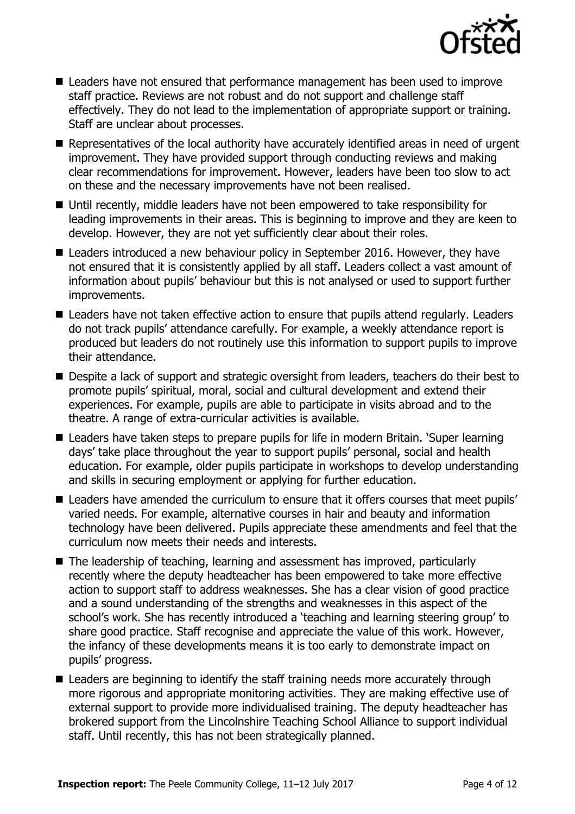

- Leaders have not ensured that performance management has been used to improve staff practice. Reviews are not robust and do not support and challenge staff effectively. They do not lead to the implementation of appropriate support or training. Staff are unclear about processes.
- **Representatives of the local authority have accurately identified areas in need of urgent** improvement. They have provided support through conducting reviews and making clear recommendations for improvement. However, leaders have been too slow to act on these and the necessary improvements have not been realised.
- Until recently, middle leaders have not been empowered to take responsibility for leading improvements in their areas. This is beginning to improve and they are keen to develop. However, they are not yet sufficiently clear about their roles.
- Leaders introduced a new behaviour policy in September 2016. However, they have not ensured that it is consistently applied by all staff. Leaders collect a vast amount of information about pupils' behaviour but this is not analysed or used to support further improvements.
- Leaders have not taken effective action to ensure that pupils attend regularly. Leaders do not track pupils' attendance carefully. For example, a weekly attendance report is produced but leaders do not routinely use this information to support pupils to improve their attendance.
- Despite a lack of support and strategic oversight from leaders, teachers do their best to promote pupils' spiritual, moral, social and cultural development and extend their experiences. For example, pupils are able to participate in visits abroad and to the theatre. A range of extra-curricular activities is available.
- Leaders have taken steps to prepare pupils for life in modern Britain. 'Super learning days' take place throughout the year to support pupils' personal, social and health education. For example, older pupils participate in workshops to develop understanding and skills in securing employment or applying for further education.
- Leaders have amended the curriculum to ensure that it offers courses that meet pupils' varied needs. For example, alternative courses in hair and beauty and information technology have been delivered. Pupils appreciate these amendments and feel that the curriculum now meets their needs and interests.
- The leadership of teaching, learning and assessment has improved, particularly recently where the deputy headteacher has been empowered to take more effective action to support staff to address weaknesses. She has a clear vision of good practice and a sound understanding of the strengths and weaknesses in this aspect of the school's work. She has recently introduced a 'teaching and learning steering group' to share good practice. Staff recognise and appreciate the value of this work. However, the infancy of these developments means it is too early to demonstrate impact on pupils' progress.
- Leaders are beginning to identify the staff training needs more accurately through more rigorous and appropriate monitoring activities. They are making effective use of external support to provide more individualised training. The deputy headteacher has brokered support from the Lincolnshire Teaching School Alliance to support individual staff. Until recently, this has not been strategically planned.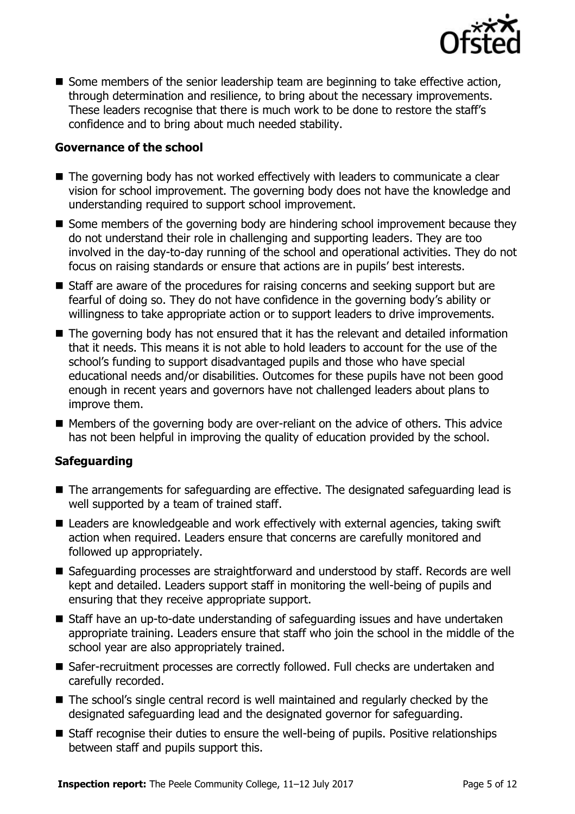

■ Some members of the senior leadership team are beginning to take effective action, through determination and resilience, to bring about the necessary improvements. These leaders recognise that there is much work to be done to restore the staff's confidence and to bring about much needed stability.

### **Governance of the school**

- The governing body has not worked effectively with leaders to communicate a clear vision for school improvement. The governing body does not have the knowledge and understanding required to support school improvement.
- Some members of the governing body are hindering school improvement because they do not understand their role in challenging and supporting leaders. They are too involved in the day-to-day running of the school and operational activities. They do not focus on raising standards or ensure that actions are in pupils' best interests.
- Staff are aware of the procedures for raising concerns and seeking support but are fearful of doing so. They do not have confidence in the governing body's ability or willingness to take appropriate action or to support leaders to drive improvements.
- The governing body has not ensured that it has the relevant and detailed information that it needs. This means it is not able to hold leaders to account for the use of the school's funding to support disadvantaged pupils and those who have special educational needs and/or disabilities. Outcomes for these pupils have not been good enough in recent years and governors have not challenged leaders about plans to improve them.
- Members of the governing body are over-reliant on the advice of others. This advice has not been helpful in improving the quality of education provided by the school.

### **Safeguarding**

- The arrangements for safeguarding are effective. The designated safeguarding lead is well supported by a team of trained staff.
- Leaders are knowledgeable and work effectively with external agencies, taking swift action when required. Leaders ensure that concerns are carefully monitored and followed up appropriately.
- Safeguarding processes are straightforward and understood by staff. Records are well kept and detailed. Leaders support staff in monitoring the well-being of pupils and ensuring that they receive appropriate support.
- Staff have an up-to-date understanding of safeguarding issues and have undertaken appropriate training. Leaders ensure that staff who join the school in the middle of the school year are also appropriately trained.
- Safer-recruitment processes are correctly followed. Full checks are undertaken and carefully recorded.
- The school's single central record is well maintained and regularly checked by the designated safeguarding lead and the designated governor for safeguarding.
- Staff recognise their duties to ensure the well-being of pupils. Positive relationships between staff and pupils support this.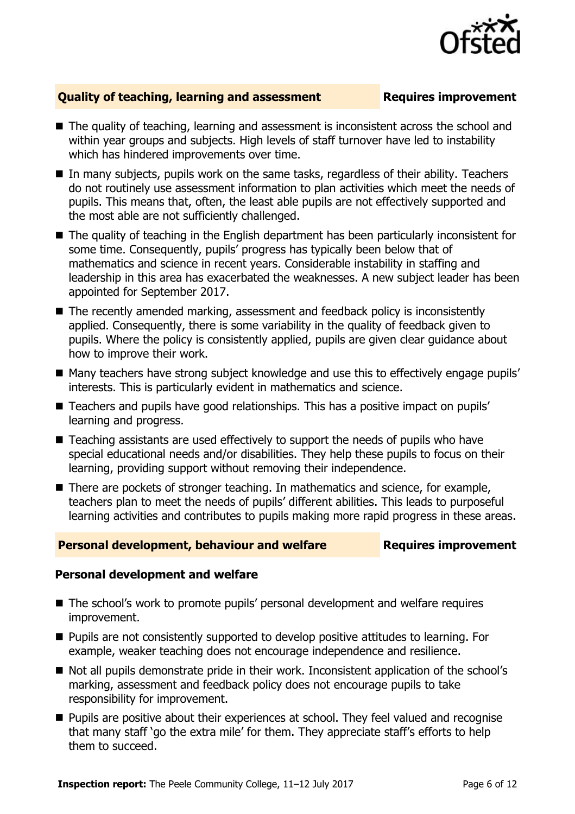

### **Quality of teaching, learning and assessment Fig. 2.1 Requires improvement**

- The quality of teaching, learning and assessment is inconsistent across the school and within year groups and subjects. High levels of staff turnover have led to instability which has hindered improvements over time.
- In many subjects, pupils work on the same tasks, regardless of their ability. Teachers do not routinely use assessment information to plan activities which meet the needs of pupils. This means that, often, the least able pupils are not effectively supported and the most able are not sufficiently challenged.
- The quality of teaching in the English department has been particularly inconsistent for some time. Consequently, pupils' progress has typically been below that of mathematics and science in recent years. Considerable instability in staffing and leadership in this area has exacerbated the weaknesses. A new subject leader has been appointed for September 2017.
- The recently amended marking, assessment and feedback policy is inconsistently applied. Consequently, there is some variability in the quality of feedback given to pupils. Where the policy is consistently applied, pupils are given clear guidance about how to improve their work.
- Many teachers have strong subject knowledge and use this to effectively engage pupils' interests. This is particularly evident in mathematics and science.
- Teachers and pupils have good relationships. This has a positive impact on pupils' learning and progress.
- Teaching assistants are used effectively to support the needs of pupils who have special educational needs and/or disabilities. They help these pupils to focus on their learning, providing support without removing their independence.
- There are pockets of stronger teaching. In mathematics and science, for example, teachers plan to meet the needs of pupils' different abilities. This leads to purposeful learning activities and contributes to pupils making more rapid progress in these areas.

### **Personal development, behaviour and welfare <b>Requires improvement**

### **Personal development and welfare**

- The school's work to promote pupils' personal development and welfare requires improvement.
- **Pupils are not consistently supported to develop positive attitudes to learning. For** example, weaker teaching does not encourage independence and resilience.
- Not all pupils demonstrate pride in their work. Inconsistent application of the school's marking, assessment and feedback policy does not encourage pupils to take responsibility for improvement.
- **Pupils are positive about their experiences at school. They feel valued and recognise** that many staff 'go the extra mile' for them. They appreciate staff's efforts to help them to succeed.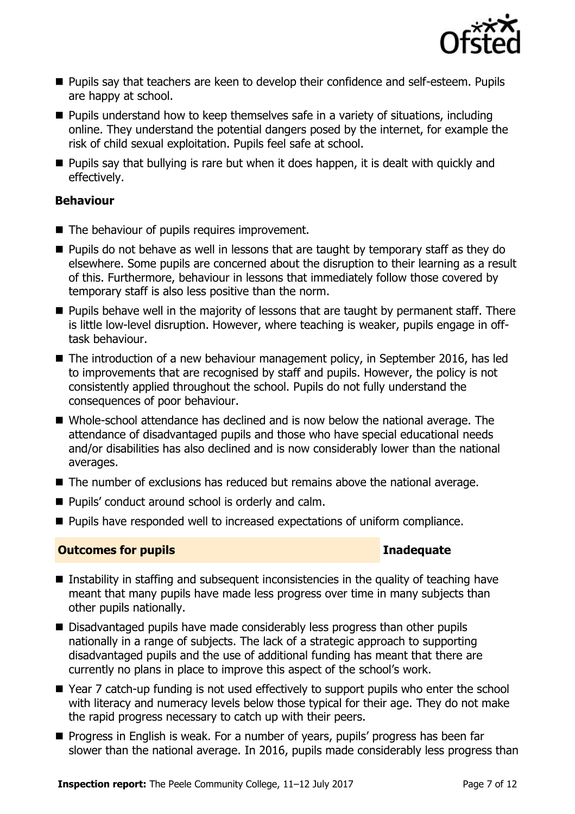

- **Pupils say that teachers are keen to develop their confidence and self-esteem. Pupils** are happy at school.
- **Pupils understand how to keep themselves safe in a variety of situations, including** online. They understand the potential dangers posed by the internet, for example the risk of child sexual exploitation. Pupils feel safe at school.
- **Pupils say that bullying is rare but when it does happen, it is dealt with quickly and** effectively.

### **Behaviour**

- The behaviour of pupils requires improvement.
- **Pupils do not behave as well in lessons that are taught by temporary staff as they do** elsewhere. Some pupils are concerned about the disruption to their learning as a result of this. Furthermore, behaviour in lessons that immediately follow those covered by temporary staff is also less positive than the norm.
- **Pupils behave well in the majority of lessons that are taught by permanent staff. There** is little low-level disruption. However, where teaching is weaker, pupils engage in offtask behaviour.
- The introduction of a new behaviour management policy, in September 2016, has led to improvements that are recognised by staff and pupils. However, the policy is not consistently applied throughout the school. Pupils do not fully understand the consequences of poor behaviour.
- Whole-school attendance has declined and is now below the national average. The attendance of disadvantaged pupils and those who have special educational needs and/or disabilities has also declined and is now considerably lower than the national averages.
- The number of exclusions has reduced but remains above the national average.
- Pupils' conduct around school is orderly and calm.
- **Pupils have responded well to increased expectations of uniform compliance.**

### **Outcomes for pupils Inadequate**

- Instability in staffing and subsequent inconsistencies in the quality of teaching have meant that many pupils have made less progress over time in many subjects than other pupils nationally.
- Disadvantaged pupils have made considerably less progress than other pupils nationally in a range of subjects. The lack of a strategic approach to supporting disadvantaged pupils and the use of additional funding has meant that there are currently no plans in place to improve this aspect of the school's work.
- Year 7 catch-up funding is not used effectively to support pupils who enter the school with literacy and numeracy levels below those typical for their age. They do not make the rapid progress necessary to catch up with their peers.
- **Progress in English is weak. For a number of years, pupils' progress has been far** slower than the national average. In 2016, pupils made considerably less progress than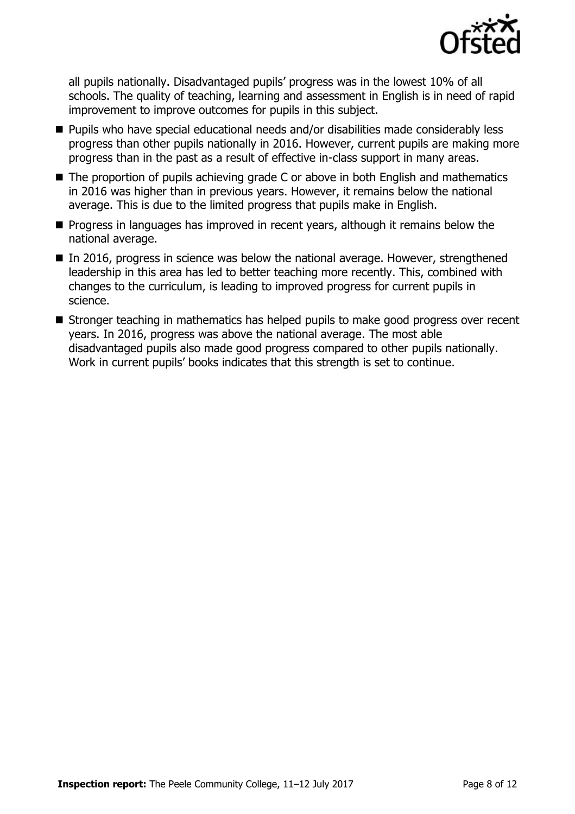

all pupils nationally. Disadvantaged pupils' progress was in the lowest 10% of all schools. The quality of teaching, learning and assessment in English is in need of rapid improvement to improve outcomes for pupils in this subject.

- **Pupils who have special educational needs and/or disabilities made considerably less** progress than other pupils nationally in 2016. However, current pupils are making more progress than in the past as a result of effective in-class support in many areas.
- The proportion of pupils achieving grade C or above in both English and mathematics in 2016 was higher than in previous years. However, it remains below the national average. This is due to the limited progress that pupils make in English.
- **Progress in languages has improved in recent years, although it remains below the** national average.
- $\blacksquare$  In 2016, progress in science was below the national average. However, strengthened leadership in this area has led to better teaching more recently. This, combined with changes to the curriculum, is leading to improved progress for current pupils in science.
- Stronger teaching in mathematics has helped pupils to make good progress over recent years. In 2016, progress was above the national average. The most able disadvantaged pupils also made good progress compared to other pupils nationally. Work in current pupils' books indicates that this strength is set to continue.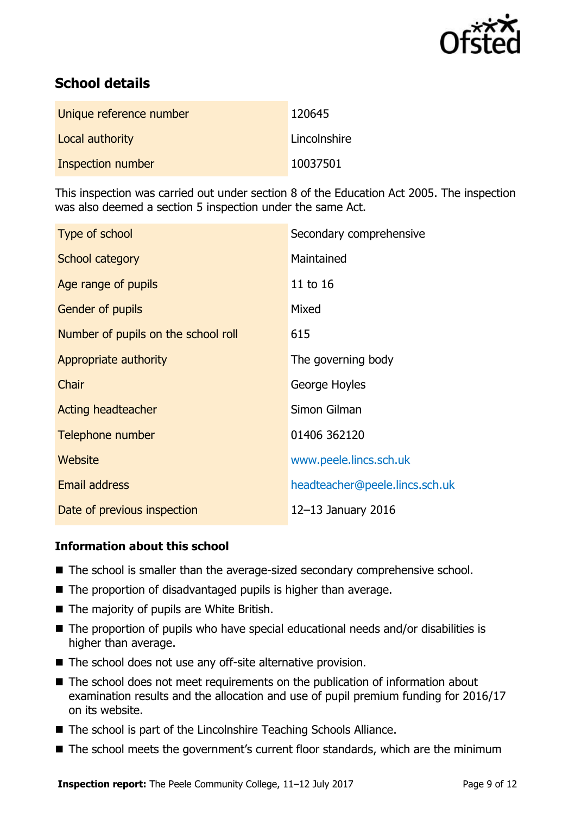

# **School details**

| Unique reference number | 120645       |
|-------------------------|--------------|
| Local authority         | Lincolnshire |
| Inspection number       | 10037501     |

This inspection was carried out under section 8 of the Education Act 2005. The inspection was also deemed a section 5 inspection under the same Act.

| Type of school                      | Secondary comprehensive        |
|-------------------------------------|--------------------------------|
| School category                     | Maintained                     |
| Age range of pupils                 | 11 to 16                       |
| <b>Gender of pupils</b>             | Mixed                          |
| Number of pupils on the school roll | 615                            |
| Appropriate authority               | The governing body             |
| Chair                               | George Hoyles                  |
| Acting headteacher                  | Simon Gilman                   |
| Telephone number                    | 01406 362120                   |
| Website                             | www.peele.lincs.sch.uk         |
| Email address                       | headteacher@peele.lincs.sch.uk |
| Date of previous inspection         | 12-13 January 2016             |

### **Information about this school**

- The school is smaller than the average-sized secondary comprehensive school.
- The proportion of disadvantaged pupils is higher than average.
- The majority of pupils are White British.
- The proportion of pupils who have special educational needs and/or disabilities is higher than average.
- The school does not use any off-site alternative provision.
- The school does not meet requirements on the publication of information about examination results and the allocation and use of pupil premium funding for 2016/17 on its website.
- The school is part of the Lincolnshire Teaching Schools Alliance.
- The school meets the government's current floor standards, which are the minimum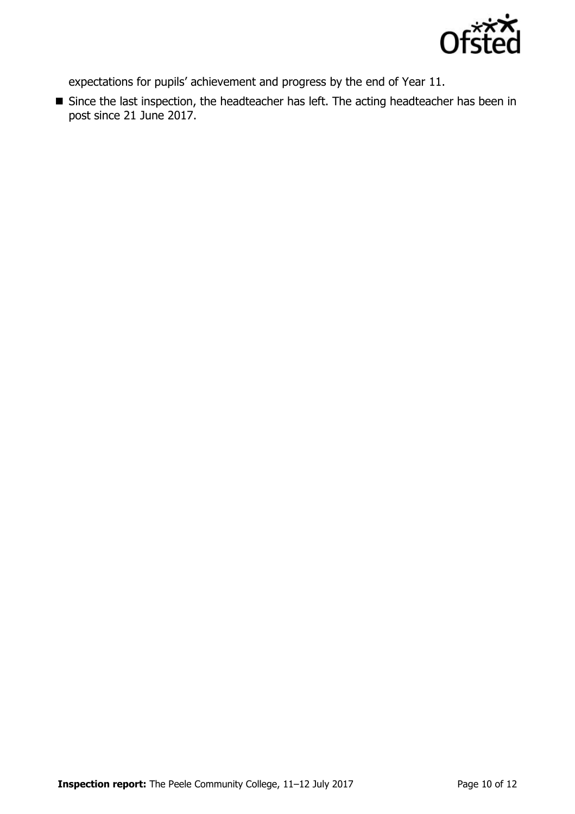

expectations for pupils' achievement and progress by the end of Year 11.

Since the last inspection, the headteacher has left. The acting headteacher has been in post since 21 June 2017.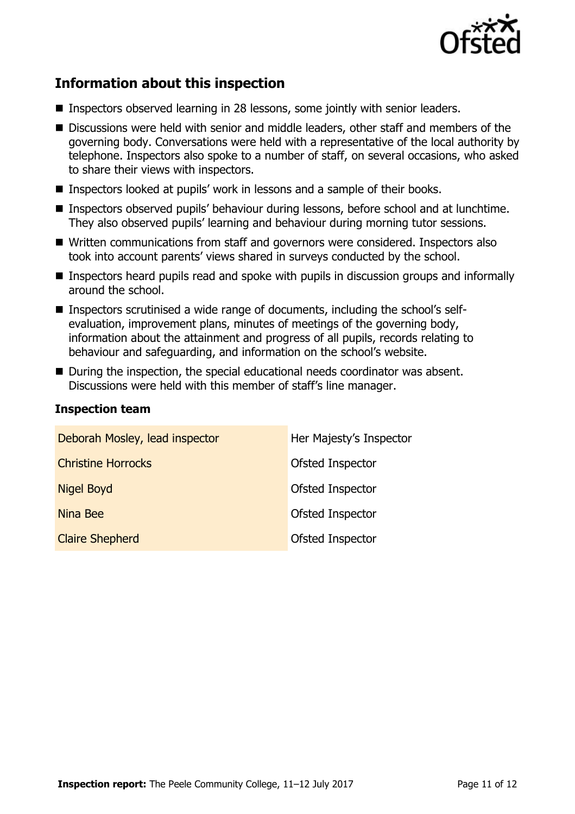

# **Information about this inspection**

- **Inspectors observed learning in 28 lessons, some jointly with senior leaders.**
- Discussions were held with senior and middle leaders, other staff and members of the governing body. Conversations were held with a representative of the local authority by telephone. Inspectors also spoke to a number of staff, on several occasions, who asked to share their views with inspectors.
- Inspectors looked at pupils' work in lessons and a sample of their books.
- Inspectors observed pupils' behaviour during lessons, before school and at lunchtime. They also observed pupils' learning and behaviour during morning tutor sessions.
- Written communications from staff and governors were considered. Inspectors also took into account parents' views shared in surveys conducted by the school.
- Inspectors heard pupils read and spoke with pupils in discussion groups and informally around the school.
- Inspectors scrutinised a wide range of documents, including the school's selfevaluation, improvement plans, minutes of meetings of the governing body, information about the attainment and progress of all pupils, records relating to behaviour and safeguarding, and information on the school's website.
- During the inspection, the special educational needs coordinator was absent. Discussions were held with this member of staff's line manager.

### **Inspection team**

| Deborah Mosley, lead inspector | Her Majesty's Inspector |
|--------------------------------|-------------------------|
| <b>Christine Horrocks</b>      | Ofsted Inspector        |
| <b>Nigel Boyd</b>              | Ofsted Inspector        |
| Nina Bee                       | Ofsted Inspector        |
| <b>Claire Shepherd</b>         | Ofsted Inspector        |